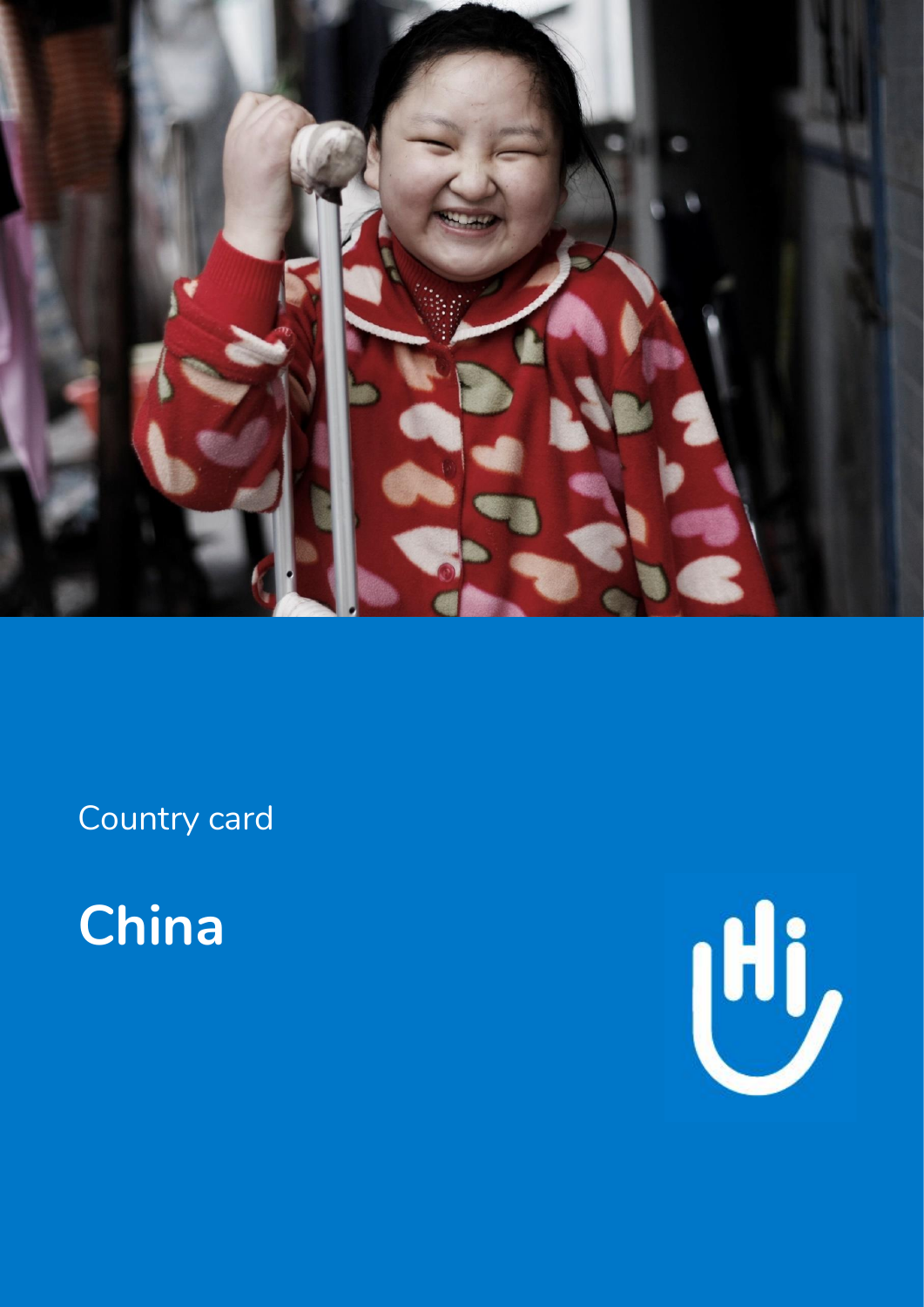

Country card



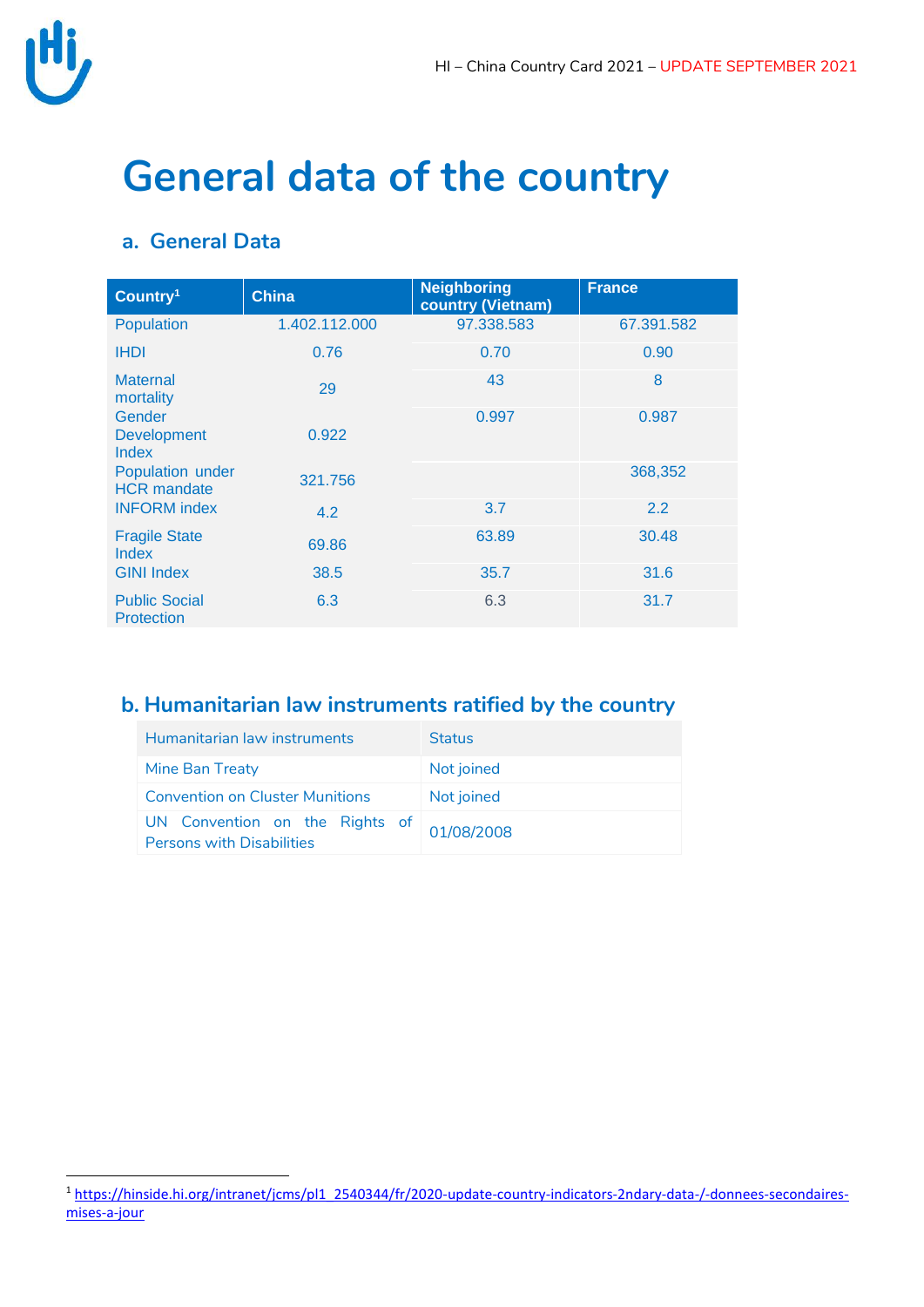

# **General data of the country**

### **a. General Data**

| Country <sup>1</sup>                                          | <b>China</b>  | <b>Neighboring</b><br>country (Vietnam) | <b>France</b> |
|---------------------------------------------------------------|---------------|-----------------------------------------|---------------|
| Population                                                    | 1.402.112.000 | 97.338.583                              | 67.391.582    |
| <b>IHDI</b>                                                   | 0.76          | 0.70                                    | 0.90          |
| <b>Maternal</b><br>mortality                                  | 29            | 43                                      | 8             |
| Gender<br><b>Development</b><br><b>Index</b>                  | 0.922         | 0.997                                   | 0.987         |
| Population under<br><b>HCR</b> mandate<br><b>INFORM</b> index | 321.756       |                                         | 368,352       |
|                                                               | 4.2           | 3.7                                     | 2.2           |
| <b>Fragile State</b><br>Index                                 | 69.86         | 63.89                                   | 30.48         |
| <b>GINI Index</b>                                             | 38.5          | 35.7                                    | 31.6          |
| <b>Public Social</b><br><b>Protection</b>                     | 6.3           | 6.3                                     | 31.7          |

### **b. Humanitarian law instruments ratified by the country**

| Humanitarian law instruments                                       | <b>Status</b> |
|--------------------------------------------------------------------|---------------|
| <b>Mine Ban Treaty</b>                                             | Not joined    |
| <b>Convention on Cluster Munitions</b>                             | Not joined    |
| UN Convention on the Rights of<br><b>Persons with Disabilities</b> | 01/08/2008    |

 $\overline{a}$ <sup>1</sup> [https://hinside.hi.org/intranet/jcms/pl1\\_2540344/fr/2020-update-country-indicators-2ndary-data-/-donnees-secondaires](https://hinside.hi.org/intranet/jcms/pl1_2540344/fr/2020-update-country-indicators-2ndary-data-/-donnees-secondaires-mises-a-jour)[mises-a-jour](https://hinside.hi.org/intranet/jcms/pl1_2540344/fr/2020-update-country-indicators-2ndary-data-/-donnees-secondaires-mises-a-jour)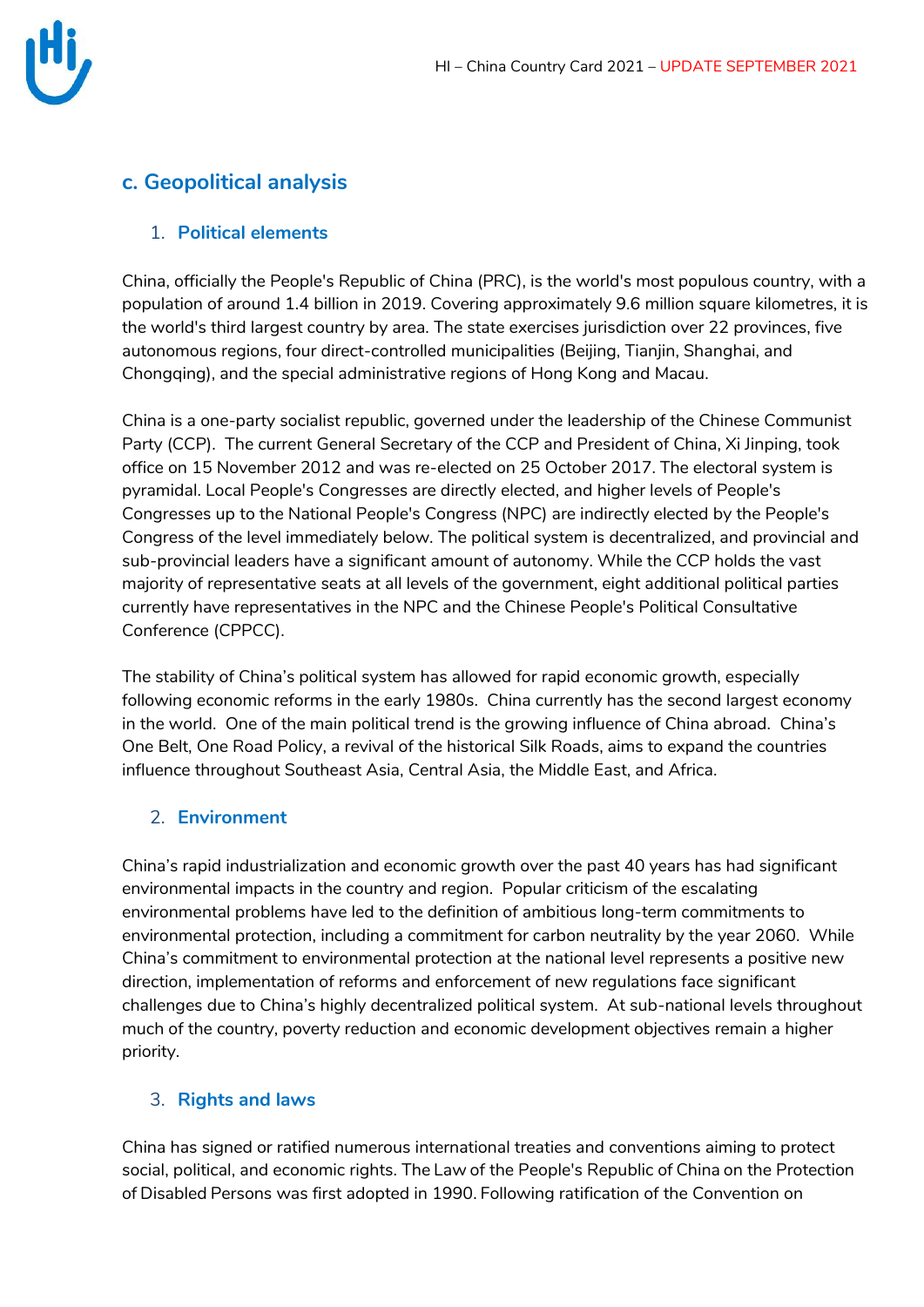

### **c. Geopolitical analysis**

#### 1. **Political elements**

China, officially the People's Republic of China (PRC), is the world's most populous country, with a population of around 1.4 billion in 2019. Covering approximately 9.6 million square kilometres, it is the world's third largest country by area. The state exercises jurisdiction over 22 provinces, five autonomous regions, four direct-controlled municipalities (Beijing, Tianjin, Shanghai, and Chongqing), and the special administrative regions of Hong Kong and Macau.

China is a one-party socialist republic, governed under the leadership of the Chinese Communist Party (CCP). The current General Secretary of the CCP and President of China, Xi Jinping, took office on 15 November 2012 and was re-elected on 25 October 2017. The electoral system is pyramidal. Local People's Congresses are directly elected, and higher levels of People's Congresses up to the National People's Congress (NPC) are indirectly elected by the People's Congress of the level immediately below. The political system is decentralized, and provincial and sub-provincial leaders have a significant amount of autonomy. While the CCP holds the vast majority of representative seats at all levels of the government, eight additional political parties currently have representatives in the NPC and the Chinese People's Political Consultative Conference (CPPCC).

The stability of China's political system has allowed for rapid economic growth, especially following economic reforms in the early 1980s. China currently has the second largest economy in the world. One of the main political trend is the growing influence of China abroad. China's One Belt, One Road Policy, a revival of the historical Silk Roads, aims to expand the countries influence throughout Southeast Asia, Central Asia, the Middle East, and Africa.

#### 2. **Environment**

China's rapid industrialization and economic growth over the past 40 years has had significant environmental impacts in the country and region. Popular criticism of the escalating environmental problems have led to the definition of ambitious long-term commitments to environmental protection, including a commitment for carbon neutrality by the year 2060. While China's commitment to environmental protection at the national level represents a positive new direction, implementation of reforms and enforcement of new regulations face significant challenges due to China's highly decentralized political system. At sub-national levels throughout much of the country, poverty reduction and economic development objectives remain a higher priority.

#### 3. **Rights and laws**

China has signed or ratified numerous international treaties and conventions aiming to protect social, political, and economic rights. The Law of the People's Republic of China on the Protection of Disabled Persons was first adopted in 1990. Following ratification of the Convention on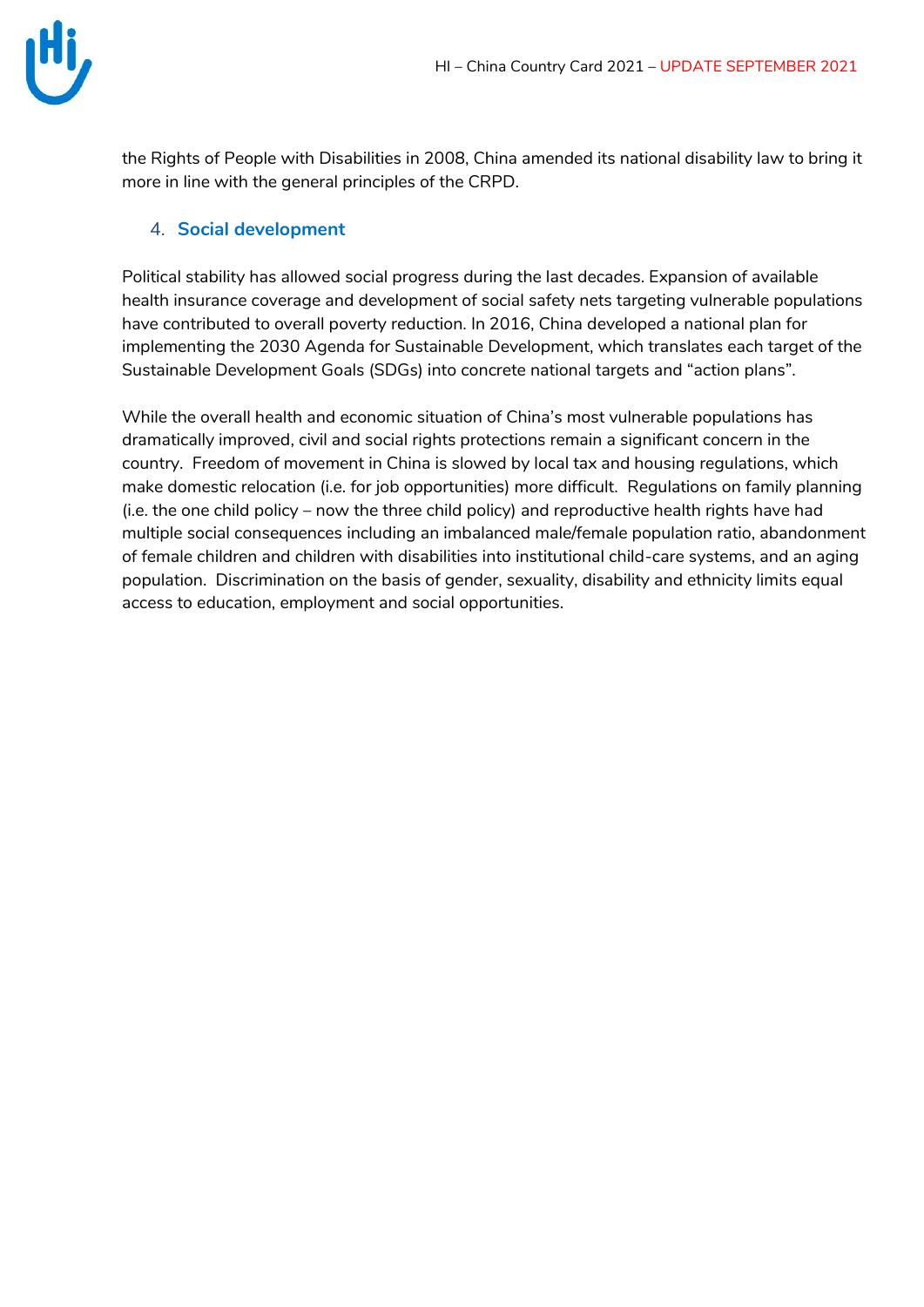

the Rights of People with Disabilities in 2008, China amended its national disability law to bring it more in line with the general principles of the CRPD.

#### 4. **Social development**

Political stability has allowed social progress during the last decades. Expansion of available health insurance coverage and development of social safety nets targeting vulnerable populations have contributed to overall poverty reduction. In 2016, China developed a national plan for implementing the 2030 Agenda for Sustainable Development, which translates each target of the Sustainable Development Goals (SDGs) into concrete national targets and "action plans".

While the overall health and economic situation of China's most vulnerable populations has dramatically improved, civil and social rights protections remain a significant concern in the country. Freedom of movement in China is slowed by local tax and housing regulations, which make domestic relocation (i.e. for job opportunities) more difficult. Regulations on family planning (i.e. the one child policy – now the three child policy) and reproductive health rights have had multiple social consequences including an imbalanced male/female population ratio, abandonment of female children and children with disabilities into institutional child-care systems, and an aging population. Discrimination on the basis of gender, sexuality, disability and ethnicity limits equal access to education, employment and social opportunities.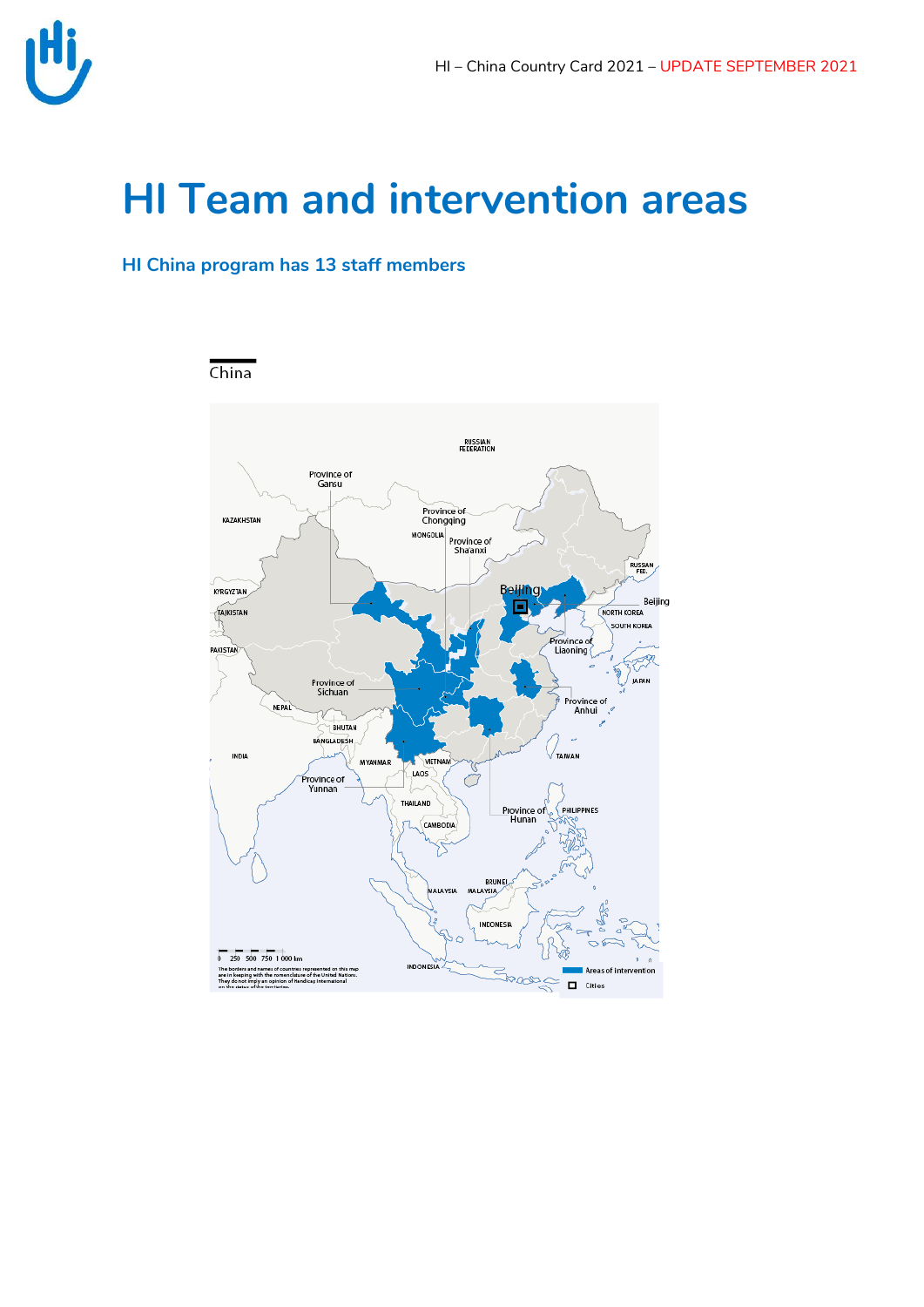

# **HI Team and intervention areas**

#### **HI China program has 13 staff members**

#### China

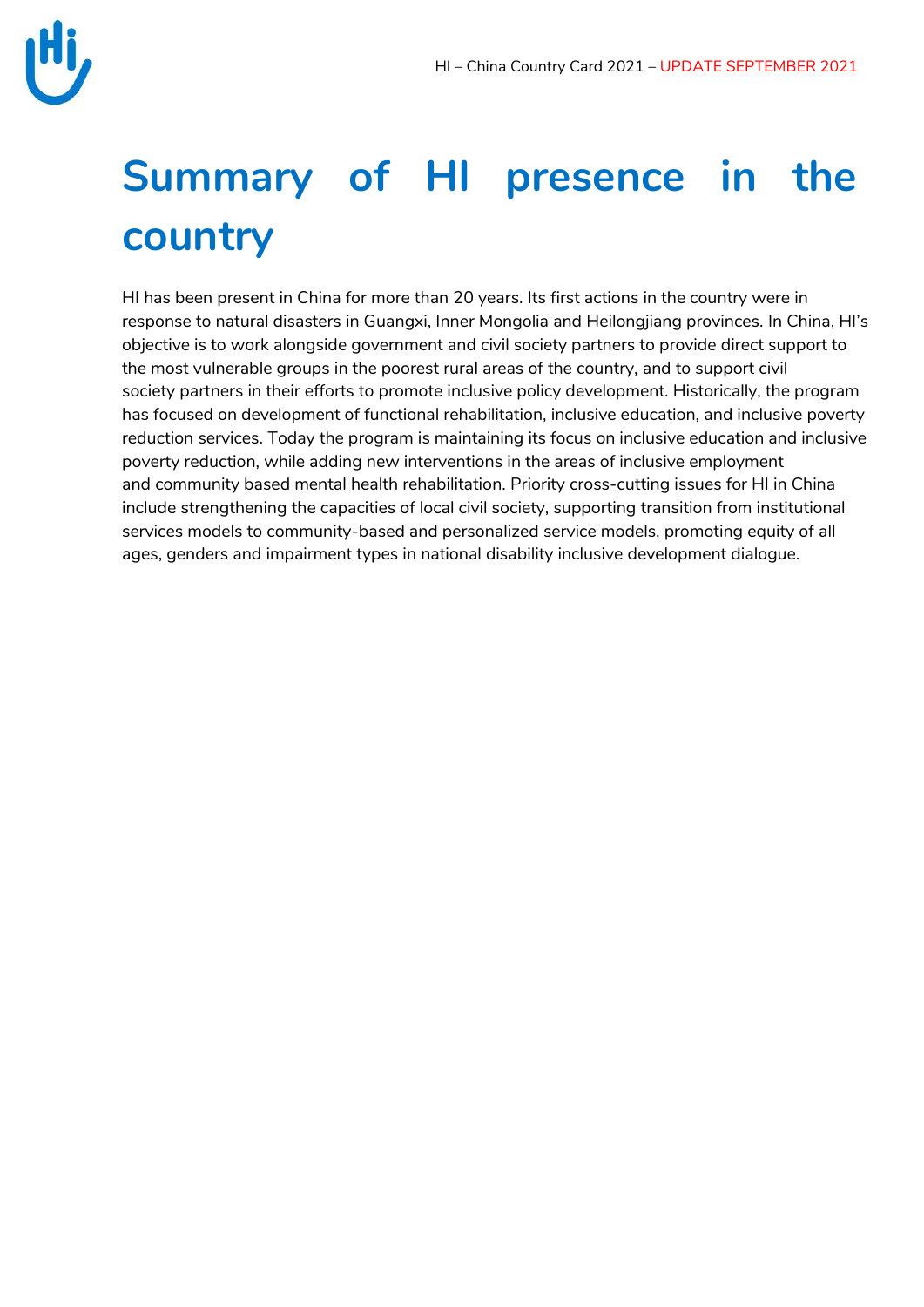

# **Summary of HI presence in the country**

HI has been present in China for more than 20 years. Its first actions in the country were in response to natural disasters in Guangxi, Inner Mongolia and Heilongjiang provinces. In China, HI's objective is to work alongside government and civil society partners to provide direct support to the most vulnerable groups in the poorest rural areas of the country, and to support civil society partners in their efforts to promote inclusive policy development. Historically, the program has focused on development of functional rehabilitation, inclusive education, and inclusive poverty reduction services. Today the program is maintaining its focus on inclusive education and inclusive poverty reduction, while adding new interventions in the areas of inclusive employment and community based mental health rehabilitation. Priority cross-cutting issues for HI in China include strengthening the capacities of local civil society, supporting transition from institutional services models to community-based and personalized service models, promoting equity of all ages, genders and impairment types in national disability inclusive development dialogue.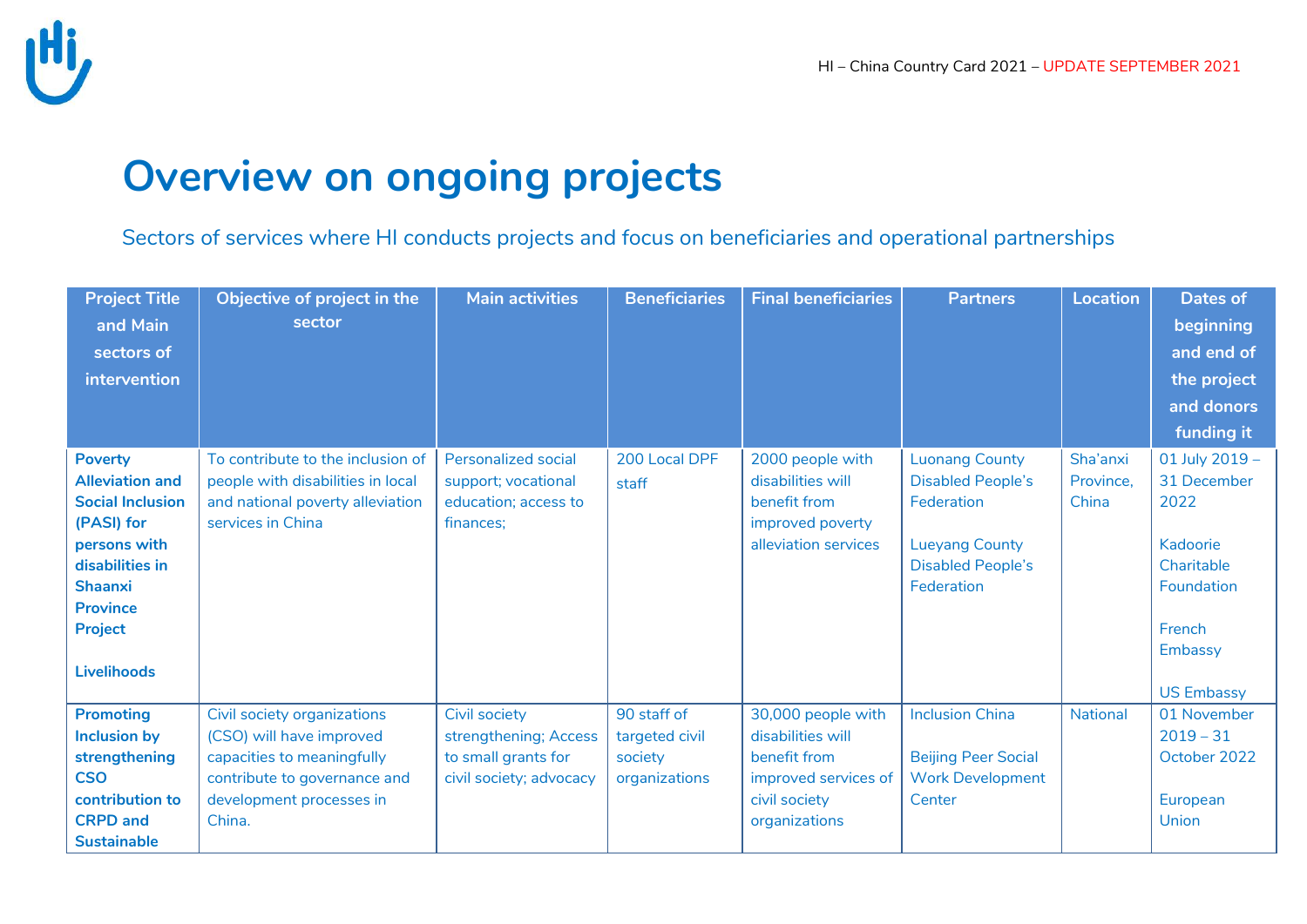

# **Overview on ongoing projects**

Sectors of services where HI conducts projects and focus on beneficiaries and operational partnerships

| <b>Project Title</b>              | Objective of project in the       | <b>Main activities</b>     | <b>Beneficiaries</b> | <b>Final beneficiaries</b> | <b>Partners</b>            | <b>Location</b> | <b>Dates of</b>   |
|-----------------------------------|-----------------------------------|----------------------------|----------------------|----------------------------|----------------------------|-----------------|-------------------|
| and Main                          | sector                            |                            |                      |                            |                            |                 | beginning         |
| sectors of                        |                                   |                            |                      |                            |                            |                 | and end of        |
| intervention                      |                                   |                            |                      |                            |                            |                 | the project       |
|                                   |                                   |                            |                      |                            |                            |                 | and donors        |
|                                   |                                   |                            |                      |                            |                            |                 | funding it        |
| <b>Poverty</b>                    | To contribute to the inclusion of | <b>Personalized social</b> | 200 Local DPF        | 2000 people with           | <b>Luonang County</b>      | Sha'anxi        | 01 July 2019 -    |
| <b>Alleviation and</b>            | people with disabilities in local | support; vocational        | staff                | disabilities will          | <b>Disabled People's</b>   | Province,       | 31 December       |
| <b>Social Inclusion</b>           | and national poverty alleviation  | education; access to       |                      | benefit from               | Federation                 | China           | 2022              |
| (PASI) for                        | services in China                 | finances;                  |                      | improved poverty           |                            |                 |                   |
| persons with                      |                                   |                            |                      | alleviation services       | <b>Lueyang County</b>      |                 | Kadoorie          |
| disabilities in                   |                                   |                            |                      |                            | <b>Disabled People's</b>   |                 | Charitable        |
| <b>Shaanxi</b><br><b>Province</b> |                                   |                            |                      |                            | Federation                 |                 | Foundation        |
| <b>Project</b>                    |                                   |                            |                      |                            |                            |                 | French            |
|                                   |                                   |                            |                      |                            |                            |                 | Embassy           |
| <b>Livelihoods</b>                |                                   |                            |                      |                            |                            |                 |                   |
|                                   |                                   |                            |                      |                            |                            |                 | <b>US Embassy</b> |
| <b>Promoting</b>                  | Civil society organizations       | Civil society              | 90 staff of          | 30,000 people with         | <b>Inclusion China</b>     | <b>National</b> | 01 November       |
| <b>Inclusion by</b>               | (CSO) will have improved          | strengthening; Access      | targeted civil       | disabilities will          |                            |                 | $2019 - 31$       |
| strengthening                     | capacities to meaningfully        | to small grants for        | society              | benefit from               | <b>Beijing Peer Social</b> |                 | October 2022      |
| <b>CSO</b>                        | contribute to governance and      | civil society; advocacy    | organizations        | improved services of       | <b>Work Development</b>    |                 |                   |
| contribution to                   | development processes in          |                            |                      | civil society              | Center                     |                 | European          |
| <b>CRPD</b> and                   | China.                            |                            |                      | organizations              |                            |                 | Union             |
| <b>Sustainable</b>                |                                   |                            |                      |                            |                            |                 |                   |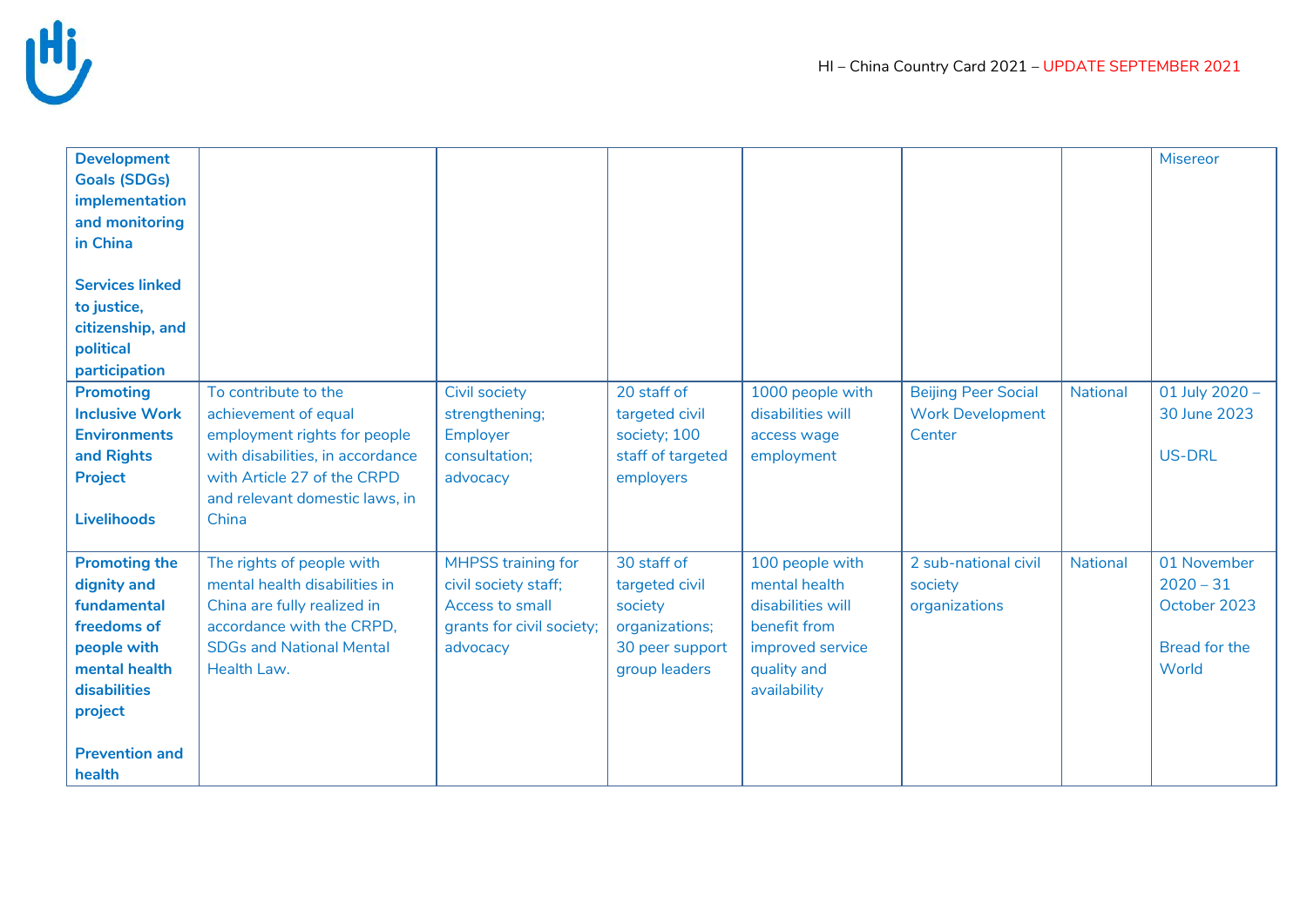

| <b>Development</b><br><b>Goals (SDGs)</b><br>implementation<br>and monitoring<br>in China<br><b>Services linked</b><br>to justice,<br>citizenship, and<br>political<br>participation |                                                                                                                                                                                            |                                                                                                        |                                                                                                |                                                                                                                          |                                                                 |                 | <b>Misereor</b>                                                             |
|--------------------------------------------------------------------------------------------------------------------------------------------------------------------------------------|--------------------------------------------------------------------------------------------------------------------------------------------------------------------------------------------|--------------------------------------------------------------------------------------------------------|------------------------------------------------------------------------------------------------|--------------------------------------------------------------------------------------------------------------------------|-----------------------------------------------------------------|-----------------|-----------------------------------------------------------------------------|
| <b>Promoting</b><br><b>Inclusive Work</b><br><b>Environments</b><br>and Rights<br><b>Project</b><br><b>Livelihoods</b>                                                               | To contribute to the<br>achievement of equal<br>employment rights for people<br>with disabilities, in accordance<br>with Article 27 of the CRPD<br>and relevant domestic laws, in<br>China | Civil society<br>strengthening;<br>Employer<br>consultation;<br>advocacy                               | 20 staff of<br>targeted civil<br>society; 100<br>staff of targeted<br>employers                | 1000 people with<br>disabilities will<br>access wage<br>employment                                                       | <b>Beijing Peer Social</b><br><b>Work Development</b><br>Center | <b>National</b> | 01 July 2020 -<br>30 June 2023<br>US-DRL                                    |
| <b>Promoting the</b><br>dignity and<br>fundamental<br>freedoms of<br>people with<br>mental health<br>disabilities<br>project<br><b>Prevention and</b><br>health                      | The rights of people with<br>mental health disabilities in<br>China are fully realized in<br>accordance with the CRPD,<br><b>SDGs and National Mental</b><br>Health Law.                   | MHPSS training for<br>civil society staff;<br>Access to small<br>grants for civil society;<br>advocacy | 30 staff of<br>targeted civil<br>society<br>organizations;<br>30 peer support<br>group leaders | 100 people with<br>mental health<br>disabilities will<br>benefit from<br>improved service<br>quality and<br>availability | 2 sub-national civil<br>society<br>organizations                | <b>National</b> | 01 November<br>$2020 - 31$<br>October 2023<br><b>Bread for the</b><br>World |